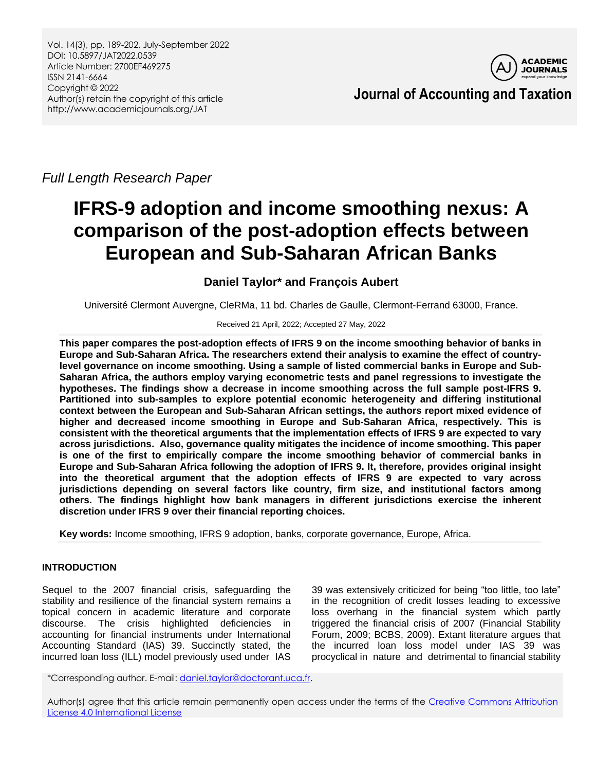

**Journal of Accounting and Taxation**

*Full Length Research Paper*

# **IFRS-9 adoption and income smoothing nexus: A comparison of the post-adoption effects between European and Sub-Saharan African Banks**

# **Daniel Taylor\* and François Aubert**

Université Clermont Auvergne, CleRMa, 11 bd. Charles de Gaulle, Clermont-Ferrand 63000, France.

## Received 21 April, 2022; Accepted 27 May, 2022

**This paper compares the post-adoption effects of IFRS 9 on the income smoothing behavior of banks in Europe and Sub-Saharan Africa. The researchers extend their analysis to examine the effect of countrylevel governance on income smoothing. Using a sample of listed commercial banks in Europe and Sub-Saharan Africa, the authors employ varying econometric tests and panel regressions to investigate the hypotheses. The findings show a decrease in income smoothing across the full sample post-IFRS 9. Partitioned into sub-samples to explore potential economic heterogeneity and differing institutional context between the European and Sub-Saharan African settings, the authors report mixed evidence of higher and decreased income smoothing in Europe and Sub-Saharan Africa, respectively. This is consistent with the theoretical arguments that the implementation effects of IFRS 9 are expected to vary across jurisdictions. Also, governance quality mitigates the incidence of income smoothing. This paper is one of the first to empirically compare the income smoothing behavior of commercial banks in Europe and Sub-Saharan Africa following the adoption of IFRS 9. It, therefore, provides original insight into the theoretical argument that the adoption effects of IFRS 9 are expected to vary across jurisdictions depending on several factors like country, firm size, and institutional factors among others. The findings highlight how bank managers in different jurisdictions exercise the inherent discretion under IFRS 9 over their financial reporting choices.**

**Key words:** Income smoothing, IFRS 9 adoption, banks, corporate governance, Europe, Africa.

## **INTRODUCTION**

Sequel to the 2007 financial crisis, safeguarding the stability and resilience of the financial system remains a topical concern in academic literature and corporate discourse. The crisis highlighted deficiencies in accounting for financial instruments under International Accounting Standard (IAS) 39. Succinctly stated, the incurred loan loss (ILL) model previously used under IAS

39 was extensively criticized for being "too little, too late" in the recognition of credit losses leading to excessive loss overhang in the financial system which partly triggered the financial crisis of 2007 (Financial Stability Forum, 2009; BCBS, 2009). Extant literature argues that the incurred loan loss model under IAS 39 was procyclical in nature and detrimental to financial stability

\*Corresponding author. E-mail[: daniel.taylor@doctorant.uca.fr.](mailto:daniel.taylor@doctorant.uca.fr)

Author(s) agree that this article remain permanently open access under the terms of the Creative Commons Attribution [License 4.0 International License](http://creativecommons.org/licenses/by/4.0/deed.en_US)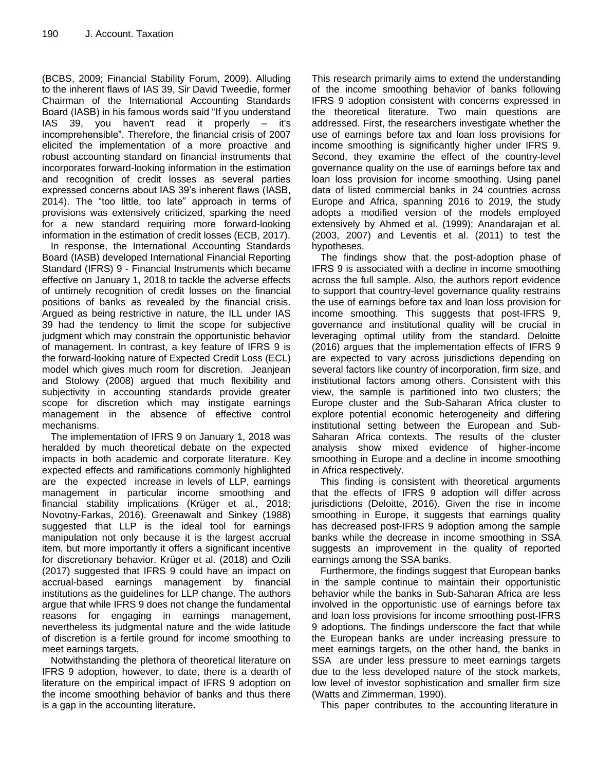(BCBS, 2009; Financial Stability Forum, 2009). Alluding to the inherent flaws of IAS 39, Sir David Tweedie, former Chairman of the International Accounting Standards Board (IASB) in his famous words said "If you understand IAS 39, you haven't read it properly – it's incomprehensible". Therefore, the financial crisis of 2007 elicited the implementation of a more proactive and robust accounting standard on financial instruments that incorporates forward-looking information in the estimation and recognition of credit losses as several parties expressed concerns about IAS 39's inherent flaws (IASB, 2014). The "too little, too late" approach in terms of provisions was extensively criticized, sparking the need for a new standard requiring more forward-looking information in the estimation of credit losses (ECB, 2017).

In response, the International Accounting Standards Board (IASB) developed International Financial Reporting Standard (IFRS) 9 - Financial Instruments which became effective on January 1, 2018 to tackle the adverse effects of untimely recognition of credit losses on the financial positions of banks as revealed by the financial crisis. Argued as being restrictive in nature, the ILL under IAS 39 had the tendency to limit the scope for subjective judgment which may constrain the opportunistic behavior of management. In contrast, a key feature of IFRS 9 is the forward-looking nature of Expected Credit Loss (ECL) model which gives much room for discretion. Jeanjean and Stolowy (2008) argued that much flexibility and subjectivity in accounting standards provide greater scope for discretion which may instigate earnings management in the absence of effective control mechanisms.

The implementation of IFRS 9 on January 1, 2018 was heralded by much theoretical debate on the expected impacts in both academic and corporate literature. Key expected effects and ramifications commonly highlighted are the expected increase in levels of LLP, earnings management in particular income smoothing and financial stability implications (Krüger et al., 2018; Novotny-Farkas, 2016). Greenawalt and Sinkey (1988) suggested that LLP is the ideal tool for earnings manipulation not only because it is the largest accrual item, but more importantly it offers a significant incentive for discretionary behavior. Krüger et al. (2018) and Ozili (2017) suggested that IFRS 9 could have an impact on accrual-based earnings management by financial institutions as the guidelines for LLP change. The authors argue that while IFRS 9 does not change the fundamental reasons for engaging in earnings management, nevertheless its judgmental nature and the wide latitude of discretion is a fertile ground for income smoothing to meet earnings targets.

Notwithstanding the plethora of theoretical literature on IFRS 9 adoption, however, to date, there is a dearth of literature on the empirical impact of IFRS 9 adoption on the income smoothing behavior of banks and thus there is a gap in the accounting literature.

This research primarily aims to extend the understanding of the income smoothing behavior of banks following IFRS 9 adoption consistent with concerns expressed in the theoretical literature. Two main questions are addressed. First, the researchers investigate whether the use of earnings before tax and loan loss provisions for income smoothing is significantly higher under IFRS 9. Second, they examine the effect of the country-level governance quality on the use of earnings before tax and loan loss provision for income smoothing. Using panel data of listed commercial banks in 24 countries across Europe and Africa, spanning 2016 to 2019, the study adopts a modified version of the models employed extensively by Ahmed et al. (1999); Anandarajan et al. (2003, 2007) and Leventis et al. (2011) to test the hypotheses.

The findings show that the post-adoption phase of IFRS 9 is associated with a decline in income smoothing across the full sample. Also, the authors report evidence to support that country-level governance quality restrains the use of earnings before tax and loan loss provision for income smoothing. This suggests that post-IFRS 9, governance and institutional quality will be crucial in leveraging optimal utility from the standard. Deloitte (2016) argues that the implementation effects of IFRS 9 are expected to vary across jurisdictions depending on several factors like country of incorporation, firm size, and institutional factors among others. Consistent with this view, the sample is partitioned into two clusters; the Europe cluster and the Sub-Saharan Africa cluster to explore potential economic heterogeneity and differing institutional setting between the European and Sub-Saharan Africa contexts. The results of the cluster analysis show mixed evidence of higher-income smoothing in Europe and a decline in income smoothing in Africa respectively.

This finding is consistent with theoretical arguments that the effects of IFRS 9 adoption will differ across jurisdictions (Deloitte, 2016). Given the rise in income smoothing in Europe, it suggests that earnings quality has decreased post-IFRS 9 adoption among the sample banks while the decrease in income smoothing in SSA suggests an improvement in the quality of reported earnings among the SSA banks.

Furthermore, the findings suggest that European banks in the sample continue to maintain their opportunistic behavior while the banks in Sub-Saharan Africa are less involved in the opportunistic use of earnings before tax and loan loss provisions for income smoothing post-IFRS 9 adoptions. The findings underscore the fact that while the European banks are under increasing pressure to meet earnings targets, on the other hand, the banks in SSA are under less pressure to meet earnings targets due to the less developed nature of the stock markets, low level of investor sophistication and smaller firm size (Watts and Zimmerman, 1990).

This paper contributes to the accounting literature in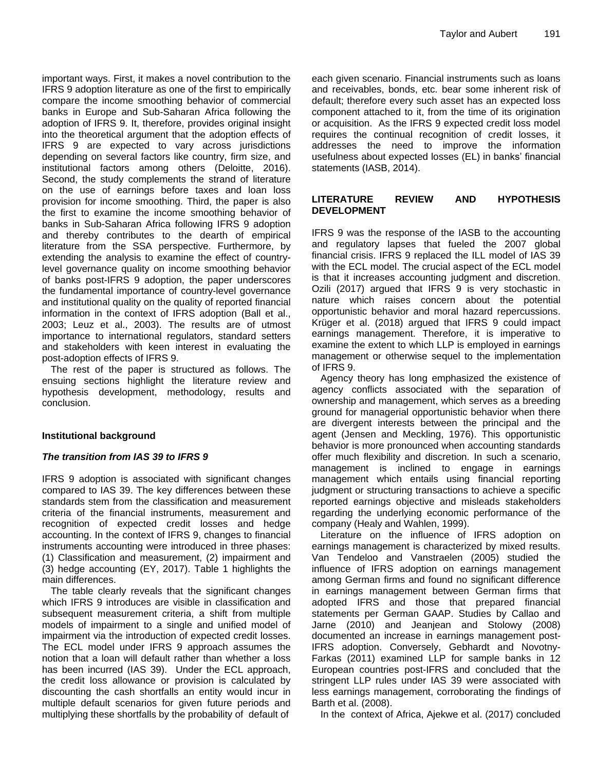important ways. First, it makes a novel contribution to the IFRS 9 adoption literature as one of the first to empirically compare the income smoothing behavior of commercial banks in Europe and Sub-Saharan Africa following the adoption of IFRS 9. It, therefore, provides original insight into the theoretical argument that the adoption effects of IFRS 9 are expected to vary across jurisdictions depending on several factors like country, firm size, and institutional factors among others (Deloitte, 2016). Second, the study complements the strand of literature on the use of earnings before taxes and loan loss provision for income smoothing. Third, the paper is also the first to examine the income smoothing behavior of banks in Sub-Saharan Africa following IFRS 9 adoption and thereby contributes to the dearth of empirical literature from the SSA perspective. Furthermore, by extending the analysis to examine the effect of countrylevel governance quality on income smoothing behavior of banks post-IFRS 9 adoption, the paper underscores the fundamental importance of country-level governance and institutional quality on the quality of reported financial information in the context of IFRS adoption (Ball et al., 2003; Leuz et al., 2003). The results are of utmost importance to international regulators, standard setters and stakeholders with keen interest in evaluating the post-adoption effects of IFRS 9.

The rest of the paper is structured as follows. The ensuing sections highlight the literature review and hypothesis development, methodology, results and conclusion.

## **Institutional background**

## *The transition from IAS 39 to IFRS 9*

IFRS 9 adoption is associated with significant changes compared to IAS 39. The key differences between these standards stem from the classification and measurement criteria of the financial instruments, measurement and recognition of expected credit losses and hedge accounting. In the context of IFRS 9, changes to financial instruments accounting were introduced in three phases: (1) Classification and measurement, (2) impairment and (3) hedge accounting (EY, 2017). Table 1 highlights the main differences.

The table clearly reveals that the significant changes which IFRS 9 introduces are visible in classification and subsequent measurement criteria, a shift from multiple models of impairment to a single and unified model of impairment via the introduction of expected credit losses. The ECL model under IFRS 9 approach assumes the notion that a loan will default rather than whether a loss has been incurred (IAS 39). Under the ECL approach, the credit loss allowance or provision is calculated by discounting the cash shortfalls an entity would incur in multiple default scenarios for given future periods and multiplying these shortfalls by the probability of default of

each given scenario. Financial instruments such as loans and receivables, bonds, etc. bear some inherent risk of default; therefore every such asset has an expected loss component attached to it, from the time of its origination or acquisition. As the IFRS 9 expected credit loss model requires the continual recognition of credit losses, it addresses the need to improve the information usefulness about expected losses (EL) in banks' financial statements (IASB, 2014).

## **LITERATURE REVIEW AND HYPOTHESIS DEVELOPMENT**

IFRS 9 was the response of the IASB to the accounting and regulatory lapses that fueled the 2007 global financial crisis. IFRS 9 replaced the ILL model of IAS 39 with the ECL model. The crucial aspect of the ECL model is that it increases accounting judgment and discretion. Ozili (2017) argued that IFRS 9 is very stochastic in nature which raises concern about the potential opportunistic behavior and moral hazard repercussions. Krüger et al. (2018) argued that IFRS 9 could impact earnings management. Therefore, it is imperative to examine the extent to which LLP is employed in earnings management or otherwise sequel to the implementation of IFRS 9.

Agency theory has long emphasized the existence of agency conflicts associated with the separation of ownership and management, which serves as a breeding ground for managerial opportunistic behavior when there are divergent interests between the principal and the agent (Jensen and Meckling, 1976). This opportunistic behavior is more pronounced when accounting standards offer much flexibility and discretion. In such a scenario, management is inclined to engage in earnings management which entails using financial reporting judgment or structuring transactions to achieve a specific reported earnings objective and misleads stakeholders regarding the underlying economic performance of the company (Healy and Wahlen, 1999).

Literature on the influence of IFRS adoption on earnings management is characterized by mixed results. Van Tendeloo and Vanstraelen (2005) studied the influence of IFRS adoption on earnings management among German firms and found no significant difference in earnings management between German firms that adopted IFRS and those that prepared financial statements per German GAAP. Studies by Callao and Jarne (2010) and Jeanjean and Stolowy (2008) documented an increase in earnings management post-IFRS adoption. Conversely, Gebhardt and Novotny-Farkas (2011) examined LLP for sample banks in 12 European countries post-IFRS and concluded that the stringent LLP rules under IAS 39 were associated with less earnings management, corroborating the findings of Barth et al. (2008).

In the context of Africa, Ajekwe et al. (2017) concluded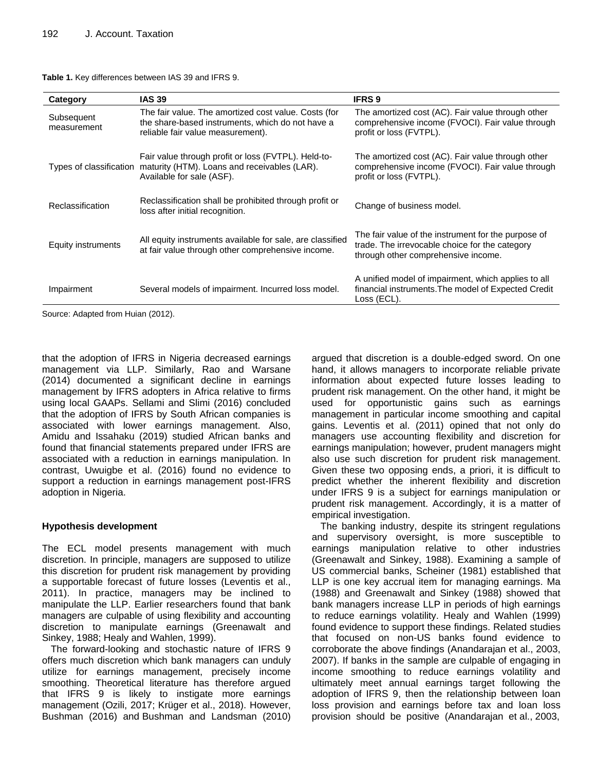| Category                  | <b>IAS 39</b>                                                                                                                                            | <b>IFRS 9</b>                                                                                                                                |
|---------------------------|----------------------------------------------------------------------------------------------------------------------------------------------------------|----------------------------------------------------------------------------------------------------------------------------------------------|
| Subsequent<br>measurement | The fair value. The amortized cost value. Costs (for<br>the share-based instruments, which do not have a<br>reliable fair value measurement).            | The amortized cost (AC). Fair value through other<br>comprehensive income (FVOCI). Fair value through<br>profit or loss (FVTPL).             |
|                           | Fair value through profit or loss (FVTPL). Held-to-<br>Types of classification maturity (HTM). Loans and receivables (LAR).<br>Available for sale (ASF). | The amortized cost (AC). Fair value through other<br>comprehensive income (FVOCI). Fair value through<br>profit or loss (FVTPL).             |
| Reclassification          | Reclassification shall be prohibited through profit or<br>loss after initial recognition.                                                                | Change of business model.                                                                                                                    |
| Equity instruments        | All equity instruments available for sale, are classified<br>at fair value through other comprehensive income.                                           | The fair value of the instrument for the purpose of<br>trade. The irrevocable choice for the category<br>through other comprehensive income. |
| Impairment                | Several models of impairment. Incurred loss model.                                                                                                       | A unified model of impairment, which applies to all<br>financial instruments. The model of Expected Credit<br>Loss (ECL).                    |

#### **Table 1.** Key differences between IAS 39 and IFRS 9.

Source: Adapted from Huian (2012).

that the adoption of IFRS in Nigeria decreased earnings management via LLP. Similarly, Rao and Warsane (2014) documented a significant decline in earnings management by IFRS adopters in Africa relative to firms using local GAAPs. Sellami and Slimi (2016) concluded that the adoption of IFRS by South African companies is associated with lower earnings management. Also, Amidu and Issahaku (2019) studied African banks and found that financial statements prepared under IFRS are associated with a reduction in earnings manipulation. In contrast, Uwuigbe et al. (2016) found no evidence to support a reduction in earnings management post-IFRS adoption in Nigeria.

## **Hypothesis development**

The ECL model presents management with much discretion. In principle, managers are supposed to utilize this discretion for prudent risk management by providing a supportable forecast of future losses (Leventis et al., 2011). In practice, managers may be inclined to manipulate the LLP. Earlier researchers found that bank managers are culpable of using flexibility and accounting discretion to manipulate earnings (Greenawalt and Sinkey, 1988; Healy and Wahlen, 1999).

The forward-looking and stochastic nature of IFRS 9 offers much discretion which bank managers can unduly utilize for earnings management, precisely income smoothing. Theoretical literature has therefore argued that IFRS 9 is likely to instigate more earnings management (Ozili, 2017; Krüger et al., 2018). However, Bushman (2016) and Bushman and Landsman (2010)

argued that discretion is a double-edged sword. On one hand, it allows managers to incorporate reliable private information about expected future losses leading to prudent risk management. On the other hand, it might be used for opportunistic gains such as earnings management in particular income smoothing and capital gains. Leventis et al. (2011) opined that not only do managers use accounting flexibility and discretion for earnings manipulation; however, prudent managers might also use such discretion for prudent risk management. Given these two opposing ends, a priori, it is difficult to predict whether the inherent flexibility and discretion under IFRS 9 is a subject for earnings manipulation or prudent risk management. Accordingly, it is a matter of empirical investigation.

The banking industry, despite its stringent regulations and supervisory oversight, is more susceptible to earnings manipulation relative to other industries (Greenawalt and Sinkey, 1988). Examining a sample of US commercial banks, Scheiner (1981) established that LLP is one key accrual item for managing earnings. Ma (1988) and Greenawalt and Sinkey (1988) showed that bank managers increase LLP in periods of high earnings to reduce earnings volatility. Healy and Wahlen (1999) found evidence to support these findings. Related studies that focused on non-US banks found evidence to corroborate the above findings (Anandarajan et al., 2003, 2007). If banks in the sample are culpable of engaging in income smoothing to reduce earnings volatility and ultimately meet annual earnings target following the adoption of IFRS 9, then the relationship between loan loss provision and earnings before tax and loan loss provision should be positive (Anandarajan et al., 2003,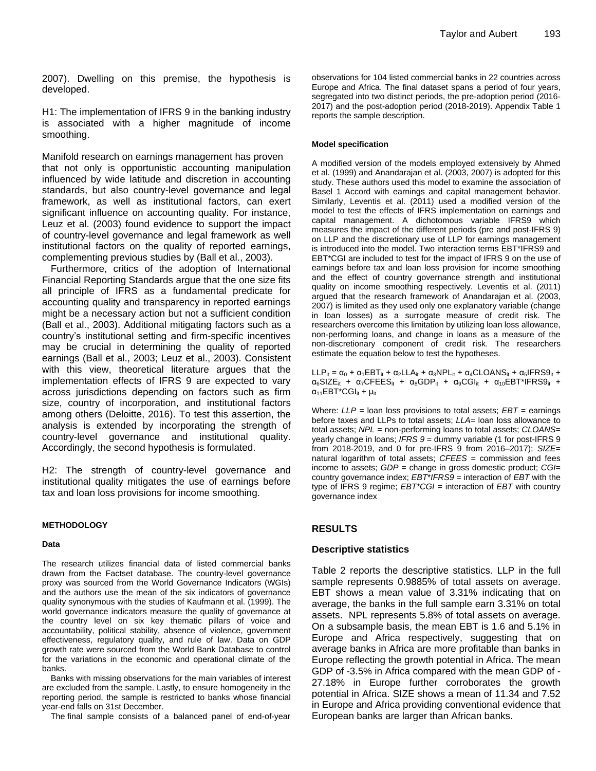2007). Dwelling on this premise, the hypothesis is developed.

H1: The implementation of IFRS 9 in the banking industry is associated with a higher magnitude of income smoothing.

Manifold research on earnings management has proven that not only is opportunistic accounting manipulation influenced by wide latitude and discretion in accounting standards, but also country-level governance and legal framework, as well as institutional factors, can exert significant influence on accounting quality. For instance, Leuz et al. (2003) found evidence to support the impact of country-level governance and legal framework as well institutional factors on the quality of reported earnings, complementing previous studies by (Ball et al., 2003).

Furthermore, critics of the adoption of International Financial Reporting Standards argue that the one size fits all principle of IFRS as a fundamental predicate for accounting quality and transparency in reported earnings might be a necessary action but not a sufficient condition (Ball et al., 2003). Additional mitigating factors such as a country's institutional setting and firm-specific incentives may be crucial in determining the quality of reported earnings (Ball et al., 2003; Leuz et al., 2003). Consistent with this view, theoretical literature argues that the implementation effects of IFRS 9 are expected to vary across jurisdictions depending on factors such as firm size, country of incorporation, and institutional factors among others (Deloitte, 2016). To test this assertion, the analysis is extended by incorporating the strength of country-level governance and institutional quality. Accordingly, the second hypothesis is formulated.

H2: The strength of country-level governance and institutional quality mitigates the use of earnings before tax and loan loss provisions for income smoothing.

#### **METHODOLOGY**

#### **Data**

The research utilizes financial data of listed commercial banks drawn from the Factset database. The country-level governance proxy was sourced from the World Governance Indicators (WGIs) and the authors use the mean of the six indicators of governance quality synonymous with the studies of Kaufmann et al. (1999). The world governance indicators measure the quality of governance at the country level on six key thematic pillars of voice and accountability, political stability, absence of violence, government effectiveness, regulatory quality, and rule of law. Data on GDP growth rate were sourced from the World Bank Database to control for the variations in the economic and operational climate of the banks.

Banks with missing observations for the main variables of interest are excluded from the sample. Lastly, to ensure homogeneity in the reporting period, the sample is restricted to banks whose financial year-end falls on 31st December.

The final sample consists of a balanced panel of end-of-year

observations for 104 listed commercial banks in 22 countries across Europe and Africa. The final dataset spans a period of four years, segregated into two distinct periods, the pre-adoption period (2016- 2017) and the post-adoption period (2018-2019). Appendix Table 1 reports the sample description.

#### **Model specification**

A modified version of the models employed extensively by Ahmed et al. (1999) and Anandarajan et al. (2003, 2007) is adopted for this study. These authors used this model to examine the association of Basel 1 Accord with earnings and capital management behavior. Similarly, Leventis et al. (2011) used a modified version of the model to test the effects of IFRS implementation on earnings and capital management. A dichotomous variable IFRS9 which measures the impact of the different periods (pre and post-IFRS 9) on LLP and the discretionary use of LLP for earnings management is introduced into the model. Two interaction terms EBT\*IFRS9 and EBT\*CGI are included to test for the impact of IFRS 9 on the use of earnings before tax and loan loss provision for income smoothing and the effect of country governance strength and institutional quality on income smoothing respectively. Leventis et al. (2011) argued that the research framework of Anandarajan et al. (2003, 2007) is limited as they used only one explanatory variable (change in loan losses) as a surrogate measure of credit risk. The researchers overcome this limitation by utilizing loan loss allowance, non-performing loans, and change in loans as a measure of the non-discretionary component of credit risk. The researchers estimate the equation below to test the hypotheses.

LLP<sub>it</sub> =  $\alpha_0$  +  $\alpha_1$ EBT<sub>it</sub> +  $\alpha_2$ LLA<sub>it</sub> +  $\alpha_3$ NPL<sub>it</sub> +  $\alpha_4$ CLOANS<sub>it</sub> +  $\alpha_5$ IFRS9<sub>it</sub> +  $\alpha_6$ SIZE<sub>it</sub> +  $\alpha_7$ CFEES<sub>it</sub> +  $\alpha_8$ GDP<sub>it</sub> +  $\alpha_9$ CGI<sub>it</sub> +  $\alpha_{10}$ EBT\*IFRS9<sub>it</sub> +  $\alpha_{11}$ EBT\*CGI<sub>it</sub> +  $\mu$ <sub>it</sub>

Where: *LLP* = loan loss provisions to total assets; *EBT* = earnings before taxes and LLPs to total assets; *LLA*= loan loss allowance to total assets; *NPL* = non-performing loans to total assets; *CLOANS*= yearly change in loans; *IFRS 9* = dummy variable (1 for post-IFRS 9 from 2018-2019, and 0 for pre-IFRS 9 from 2016–2017); *SIZE*= natural logarithm of total assets; *CFEES* = commission and fees income to assets; *GDP* = change in gross domestic product; *CGI*= country governance index; *EBT*\**IFRS9* = interaction of *EBT* with the type of IFRS 9 regime; *EBT\*CGI* = interaction of *EBT* with country governance index

## **RESULTS**

#### **Descriptive statistics**

Table 2 reports the descriptive statistics. LLP in the full sample represents 0.9885% of total assets on average. EBT shows a mean value of 3.31% indicating that on average, the banks in the full sample earn 3.31% on total assets. NPL represents 5.8% of total assets on average. On a subsample basis, the mean EBT is 1.6 and 5.1% in Europe and Africa respectively, suggesting that on average banks in Africa are more profitable than banks in Europe reflecting the growth potential in Africa. The mean GDP of -3.5% in Africa compared with the mean GDP of - 27.18% in Europe further corroborates the growth potential in Africa. SIZE shows a mean of 11.34 and 7.52 in Europe and Africa providing conventional evidence that European banks are larger than African banks.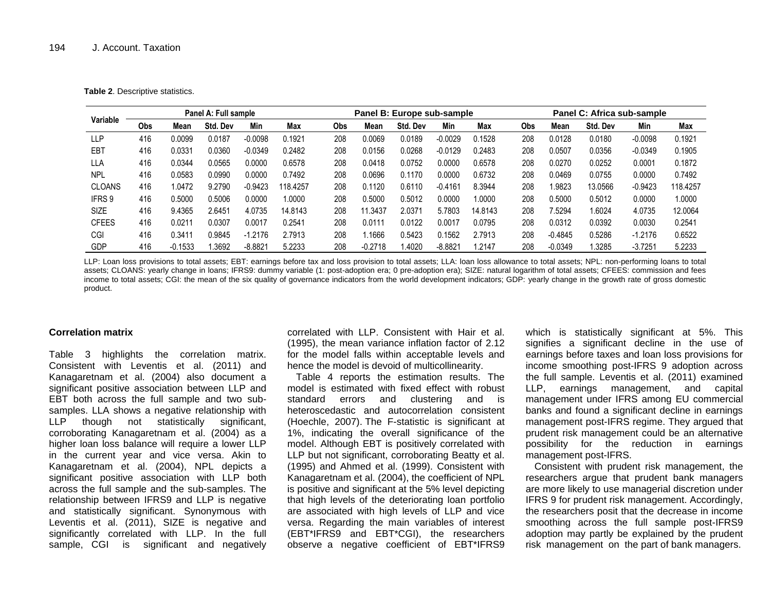**Table 2**. Descriptive statistics.

|               | Panel A: Full sample |           |          |           | Panel B: Europe sub-sample |     |           |          |           | Panel C: Africa sub-sample |            |           |          |           |          |
|---------------|----------------------|-----------|----------|-----------|----------------------------|-----|-----------|----------|-----------|----------------------------|------------|-----------|----------|-----------|----------|
| Variable      | <b>Obs</b>           | Mean      | Std. Dev | Min       | Max                        | Obs | Mean      | Std. Dev | Min       | Max                        | <b>Obs</b> | Mean      | Std. Dev | Min       | Max      |
| <b>LLP</b>    | 416                  | 0.0099    | 0.0187   | $-0.0098$ | 0.1921                     | 208 | 0.0069    | 0.0189   | $-0.0029$ | 0.1528                     | 208        | 0.0128    | 0.0180   | $-0.0098$ | 0.1921   |
| EBT           | 416                  | 0.0331    | 0.0360   | $-0.0349$ | 0.2482                     | 208 | 0.0156    | 0.0268   | $-0.0129$ | 0.2483                     | 208        | 0.0507    | 0.0356   | $-0.0349$ | 0.1905   |
| <b>LLA</b>    | 416                  | 0.0344    | 0.0565   | 0.0000    | 0.6578                     | 208 | 0.0418    | 0.0752   | 0.0000    | 0.6578                     | 208        | 0.0270    | 0.0252   | 0.0001    | 0.1872   |
| <b>NPL</b>    | 416                  | 0.0583    | 0.0990   | 0.0000    | 0.7492                     | 208 | 0.0696    | 0.1170   | 0.0000    | 0.6732                     | 208        | 0.0469    | 0.0755   | 0.0000    | 0.7492   |
| <b>CLOANS</b> | 416                  | 1.0472    | 9.2790   | $-0.9423$ | 118.4257                   | 208 | 0.1120    | 0.6110   | $-0.4161$ | 8.3944                     | 208        | 1.9823    | 13.0566  | $-0.9423$ | 118.4257 |
| IFRS 9        | 416                  | 0.5000    | 0.5006   | 0.0000    | 1.0000                     | 208 | 0.5000    | 0.5012   | 0.0000    | 1.0000                     | 208        | 0.5000    | 0.5012   | 0.0000    | 1.0000   |
| <b>SIZE</b>   | 416                  | 9.4365    | 2.6451   | 4.0735    | 14.8143                    | 208 | 11.3437   | 2.0371   | 5.7803    | 14.8143                    | 208        | 7.5294    | 1.6024   | 4.0735    | 12.0064  |
| <b>CFEES</b>  | 416                  | 0.0211    | 0.0307   | 0.0017    | 0.2541                     | 208 | 0.0111    | 0.0122   | 0.0017    | 0.0795                     | 208        | 0.0312    | 0.0392   | 0.0030    | 0.2541   |
| CGI           | 416                  | 0.3411    | 0.9845   | $-1.2176$ | 2.7913                     | 208 | .1666     | 0.5423   | 0.1562    | 2.7913                     | 208        | $-0.4845$ | 0.5286   | $-1.2176$ | 0.6522   |
| <b>GDP</b>    | 416                  | $-0.1533$ | 1.3692   | $-8.8821$ | 5.2233                     | 208 | $-0.2718$ | .4020    | $-8.8821$ | 1.2147                     | 208        | $-0.0349$ | 1.3285   | $-3.7251$ | 5.2233   |

LLP: Loan loss provisions to total assets; EBT: earnings before tax and loss provision to total assets; LLA: loan loss allowance to total assets; NPL: non-performing loans to total assets; CLOANS: yearly change in loans; IFRS9: dummy variable (1: post-adoption era; 0 pre-adoption era); SIZE: natural logarithm of total assets; CFEES: commission and fees income to total assets; CGI: the mean of the six quality of governance indicators from the world development indicators; GDP: yearly change in the growth rate of gross domestic product.

#### **Correlation matrix**

Table 3 highlights the correlation matrix. Consistent with Leventis et al. (2011) and Kanagaretnam et al. (2004) also document a significant positive association between LLP and EBT both across the full sample and two subsamples. LLA shows a negative relationship with LLP though not statistically significant, corroborating Kanagaretnam et al. (2004) as a higher loan loss balance will require a lower LLP in the current year and vice versa. Akin to Kanagaretnam et al. (2004), NPL depicts a significant positive association with LLP both across the full sample and the sub-samples. The relationship between IFRS9 and LLP is negative and statistically significant. Synonymous with Leventis et al. (2011), SIZE is negative and significantly correlated with LLP. In the full sample, CGI is significant and negatively correlated with LLP. Consistent with Hair et al. (1995), the mean variance inflation factor of 2.12 for the model falls within acceptable levels and hence the model is devoid of multicollinearity.

Table 4 reports the estimation results. The model is estimated with fixed effect with robust standard errors and clustering and is heteroscedastic and autocorrelation consistent (Hoechle, 2007). The F-statistic is significant at 1%, indicating the overall significance of the model. Although EBT is positively correlated with LLP but not significant, corroborating Beatty et al. (1995) and Ahmed et al. (1999). Consistent with Kanagaretnam et al. (2004), the coefficient of NPL is positive and significant at the 5% level depicting that high levels of the deteriorating loan portfolio are associated with high levels of LLP and vice versa. Regarding the main variables of interest (EBT\*IFRS9 and EBT\*CGI), the researchers observe a negative coefficient of EBT\*IFRS9 which is statistically significant at 5%. This signifies a significant decline in the use of earnings before taxes and loan loss provisions for income smoothing post-IFRS 9 adoption across the full sample. Leventis et al. (2011) examined LLP, earnings management, and capital management under IFRS among EU commercial banks and found a significant decline in earnings management post-IFRS regime. They argued that prudent risk management could be an alternative possibility for the reduction in earnings management post-IFRS.

Consistent with prudent risk management, the researchers argue that prudent bank managers are more likely to use managerial discretion under IFRS 9 for prudent risk management. Accordingly, the researchers posit that the decrease in income smoothing across the full sample post-IFRS9 adoption may partly be explained by the prudent risk management on the part of bank managers.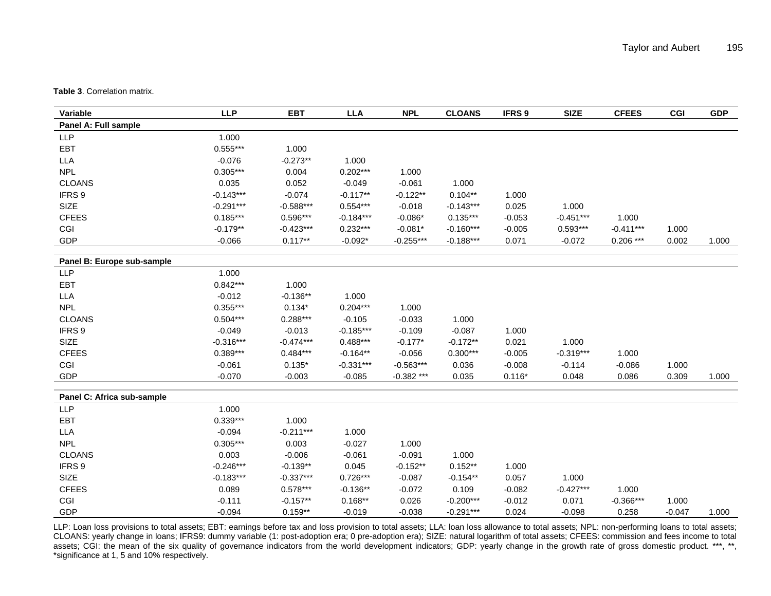**Table 3**. Correlation matrix.

| Variable                   | <b>LLP</b>  | EBT         | <b>LLA</b>  | <b>NPL</b>   | <b>CLOANS</b> | IFRS <sub>9</sub> | <b>SIZE</b> | <b>CFEES</b> | <b>CGI</b> | <b>GDP</b> |
|----------------------------|-------------|-------------|-------------|--------------|---------------|-------------------|-------------|--------------|------------|------------|
| Panel A: Full sample       |             |             |             |              |               |                   |             |              |            |            |
| <b>LLP</b>                 | 1.000       |             |             |              |               |                   |             |              |            |            |
| EBT                        | $0.555***$  | 1.000       |             |              |               |                   |             |              |            |            |
| <b>LLA</b>                 | $-0.076$    | $-0.273**$  | 1.000       |              |               |                   |             |              |            |            |
| <b>NPL</b>                 | $0.305***$  | 0.004       | $0.202***$  | 1.000        |               |                   |             |              |            |            |
| <b>CLOANS</b>              | 0.035       | 0.052       | $-0.049$    | $-0.061$     | 1.000         |                   |             |              |            |            |
| IFRS 9                     | $-0.143***$ | $-0.074$    | $-0.117**$  | $-0.122**$   | $0.104**$     | 1.000             |             |              |            |            |
| SIZE                       | $-0.291***$ | $-0.588***$ | $0.554***$  | $-0.018$     | $-0.143***$   | 0.025             | 1.000       |              |            |            |
| <b>CFEES</b>               | $0.185***$  | $0.596***$  | $-0.184***$ | $-0.086*$    | $0.135***$    | $-0.053$          | $-0.451***$ | 1.000        |            |            |
| CGI                        | $-0.179**$  | $-0.423***$ | $0.232***$  | $-0.081*$    | $-0.160***$   | $-0.005$          | $0.593***$  | $-0.411***$  | 1.000      |            |
| GDP                        | $-0.066$    | $0.117**$   | $-0.092*$   | $-0.255***$  | $-0.188***$   | 0.071             | $-0.072$    | $0.206***$   | 0.002      | 1.000      |
| Panel B: Europe sub-sample |             |             |             |              |               |                   |             |              |            |            |
| <b>LLP</b>                 | 1.000       |             |             |              |               |                   |             |              |            |            |
| <b>EBT</b>                 | $0.842***$  | 1.000       |             |              |               |                   |             |              |            |            |
| <b>LLA</b>                 | $-0.012$    | $-0.136**$  | 1.000       |              |               |                   |             |              |            |            |
| <b>NPL</b>                 | $0.355***$  | $0.134*$    | $0.204***$  | 1.000        |               |                   |             |              |            |            |
| <b>CLOANS</b>              | $0.504***$  | $0.288***$  | $-0.105$    | $-0.033$     | 1.000         |                   |             |              |            |            |
| IFRS 9                     | $-0.049$    | $-0.013$    | $-0.185***$ | $-0.109$     | $-0.087$      | 1.000             |             |              |            |            |
| SIZE                       | $-0.316***$ | $-0.474***$ | $0.488***$  | $-0.177*$    | $-0.172**$    | 0.021             | 1.000       |              |            |            |
| <b>CFEES</b>               | $0.389***$  | $0.484***$  | $-0.164**$  | $-0.056$     | $0.300***$    | $-0.005$          | $-0.319***$ | 1.000        |            |            |
| CGI                        | $-0.061$    | $0.135*$    | $-0.331***$ | $-0.563***$  | 0.036         | $-0.008$          | $-0.114$    | $-0.086$     | 1.000      |            |
| GDP                        | $-0.070$    | $-0.003$    | $-0.085$    | $-0.382$ *** | 0.035         | $0.116*$          | 0.048       | 0.086        | 0.309      | 1.000      |
| Panel C: Africa sub-sample |             |             |             |              |               |                   |             |              |            |            |
| <b>LLP</b>                 | 1.000       |             |             |              |               |                   |             |              |            |            |
| <b>EBT</b>                 | $0.339***$  | 1.000       |             |              |               |                   |             |              |            |            |
| <b>LLA</b>                 | $-0.094$    | $-0.211***$ | 1.000       |              |               |                   |             |              |            |            |
| <b>NPL</b>                 | $0.305***$  | 0.003       | $-0.027$    | 1.000        |               |                   |             |              |            |            |
| <b>CLOANS</b>              | 0.003       | $-0.006$    | $-0.061$    | $-0.091$     | 1.000         |                   |             |              |            |            |
| IFRS 9                     | $-0.246***$ | $-0.139**$  | 0.045       | $-0.152**$   | $0.152**$     | 1.000             |             |              |            |            |
| SIZE                       | $-0.183***$ | $-0.337***$ | $0.726***$  | $-0.087$     | $-0.154**$    | 0.057             | 1.000       |              |            |            |
| <b>CFEES</b>               | 0.089       | $0.578***$  | $-0.136**$  | $-0.072$     | 0.109         | $-0.082$          | $-0.427***$ | 1.000        |            |            |
| CGI                        | $-0.111$    | $-0.157**$  | $0.168**$   | 0.026        | $-0.200***$   | $-0.012$          | 0.071       | $-0.366***$  | 1.000      |            |
| <b>GDP</b>                 | $-0.094$    | $0.159**$   | $-0.019$    | $-0.038$     | $-0.291***$   | 0.024             | $-0.098$    | 0.258        | $-0.047$   | 1.000      |

LLP: Loan loss provisions to total assets; EBT: earnings before tax and loss provision to total assets; LLA: loan loss allowance to total assets; NPL: non-performing loans to total assets; CLOANS: yearly change in loans; IFRS9: dummy variable (1: post-adoption era; 0 pre-adoption era); SIZE: natural logarithm of total assets; CFEES: commission and fees income to total assets; CGI: the mean of the six quality of governance indicators from the world development indicators; GDP: yearly change in the growth rate of gross domestic product. \*\*\*, \*\*, \*significance at 1, 5 and 10% respectively.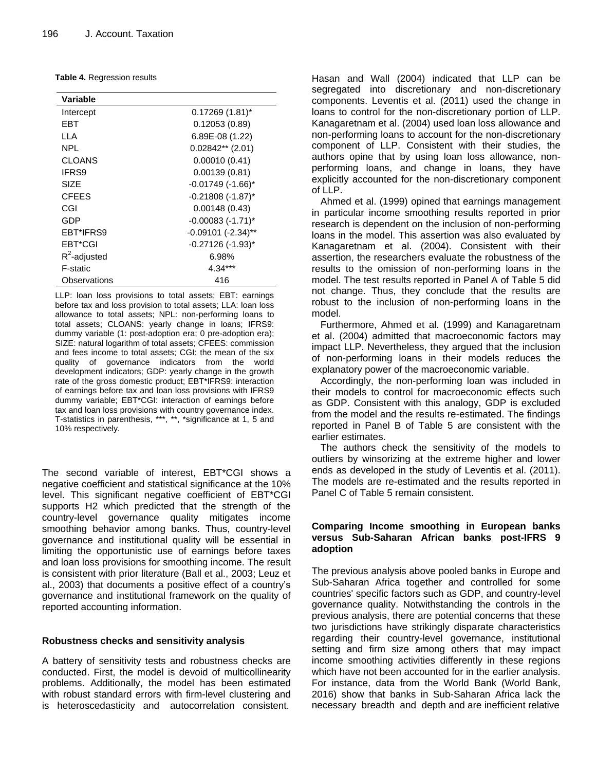|  | <b>Table 4. Regression results</b> |  |
|--|------------------------------------|--|
|--|------------------------------------|--|

| Variable        |                         |
|-----------------|-------------------------|
| Intercept       | $0.17269(1.81)^{*}$     |
| FBT             | 0.12053(0.89)           |
| II A            | 6.89E-08 (1.22)         |
| NPL             | $0.02842**$ (2.01)      |
| CLOANS          | 0.00010(0.41)           |
| <b>IFRS9</b>    | 0.00139(0.81)           |
| SIZE            | $-0.01749$ $(-1.66)^*$  |
| <b>CFEES</b>    | $-0.21808$ $(-1.87)^*$  |
| CGI             | 0.00148(0.43)           |
| GDP             | $-0.00083$ $(-1.71)^*$  |
| EBT*IFRS9       | $-0.09101$ $(-2.34)$ ** |
| <b>FBT*CGI</b>  | $-0.27126$ $(-1.93)^*$  |
| $R^2$ -adjusted | 6.98%                   |
| F-static        | $4.34***$               |
| Observations    | 416                     |

LLP: loan loss provisions to total assets; EBT: earnings before tax and loss provision to total assets; LLA: loan loss allowance to total assets; NPL: non-performing loans to total assets; CLOANS: yearly change in loans; IFRS9: dummy variable (1: post-adoption era; 0 pre-adoption era); SIZE: natural logarithm of total assets; CFEES: commission and fees income to total assets; CGI: the mean of the six quality of governance indicators from the world development indicators; GDP: yearly change in the growth rate of the gross domestic product; EBT\*IFRS9: interaction of earnings before tax and loan loss provisions with IFRS9 dummy variable; EBT\*CGI: interaction of earnings before tax and loan loss provisions with country governance index. T-statistics in parenthesis, \*\*\*, \*\*, \*significance at 1, 5 and 10% respectively.

The second variable of interest, EBT\*CGI shows a negative coefficient and statistical significance at the 10% level. This significant negative coefficient of EBT\*CGI supports H2 which predicted that the strength of the country-level governance quality mitigates income smoothing behavior among banks. Thus, country-level governance and institutional quality will be essential in limiting the opportunistic use of earnings before taxes and loan loss provisions for smoothing income. The result is consistent with prior literature (Ball et al., 2003; Leuz et al., 2003) that documents a positive effect of a country's governance and institutional framework on the quality of reported accounting information.

## **Robustness checks and sensitivity analysis**

A battery of sensitivity tests and robustness checks are conducted. First, the model is devoid of multicollinearity problems. Additionally, the model has been estimated with robust standard errors with firm-level clustering and is heteroscedasticity and autocorrelation consistent.

Hasan and Wall (2004) indicated that LLP can be segregated into discretionary and non-discretionary components. Leventis et al. (2011) used the change in loans to control for the non-discretionary portion of LLP. Kanagaretnam et al. (2004) used loan loss allowance and non-performing loans to account for the non-discretionary component of LLP. Consistent with their studies, the authors opine that by using loan loss allowance, nonperforming loans, and change in loans, they have explicitly accounted for the non-discretionary component of LLP.

Ahmed et al. (1999) opined that earnings management in particular income smoothing results reported in prior research is dependent on the inclusion of non-performing loans in the model. This assertion was also evaluated by Kanagaretnam et al. (2004). Consistent with their assertion, the researchers evaluate the robustness of the results to the omission of non-performing loans in the model. The test results reported in Panel A of Table 5 did not change. Thus, they conclude that the results are robust to the inclusion of non-performing loans in the model.

Furthermore, Ahmed et al. (1999) and Kanagaretnam et al. (2004) admitted that macroeconomic factors may impact LLP. Nevertheless, they argued that the inclusion of non-performing loans in their models reduces the explanatory power of the macroeconomic variable.

Accordingly, the non-performing loan was included in their models to control for macroeconomic effects such as GDP. Consistent with this analogy, GDP is excluded from the model and the results re-estimated. The findings reported in Panel B of Table 5 are consistent with the earlier estimates.

The authors check the sensitivity of the models to outliers by winsorizing at the extreme higher and lower ends as developed in the study of Leventis et al. (2011). The models are re-estimated and the results reported in Panel C of Table 5 remain consistent.

## **Comparing Income smoothing in European banks versus Sub-Saharan African banks post-IFRS 9 adoption**

The previous analysis above pooled banks in Europe and Sub-Saharan Africa together and controlled for some countries' specific factors such as GDP, and country-level governance quality. Notwithstanding the controls in the previous analysis, there are potential concerns that these two jurisdictions have strikingly disparate characteristics regarding their country-level governance, institutional setting and firm size among others that may impact income smoothing activities differently in these regions which have not been accounted for in the earlier analysis. For instance, data from the World Bank (World Bank, 2016) show that banks in Sub-Saharan Africa lack the necessary breadth and depth and are inefficient relative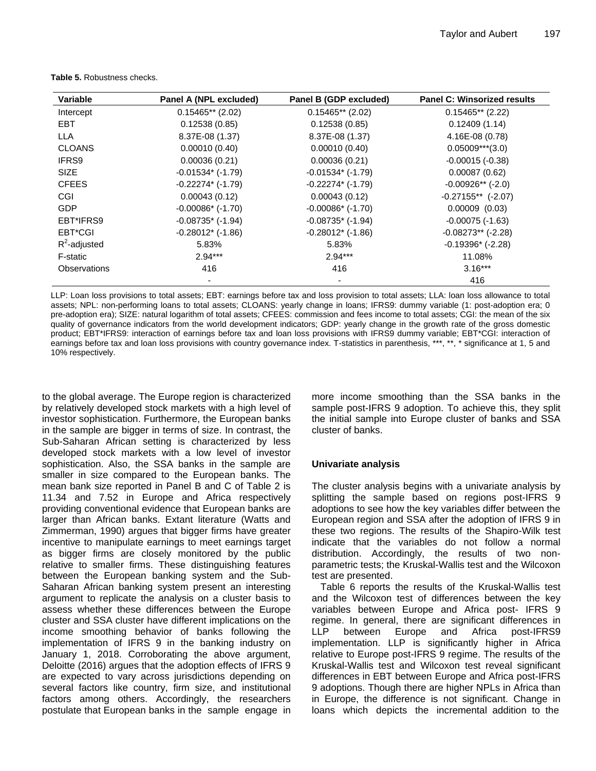| Variable        | Panel A (NPL excluded)   | Panel B (GDP excluded) | <b>Panel C: Winsorized results</b> |
|-----------------|--------------------------|------------------------|------------------------------------|
| Intercept       | $0.15465**$ (2.02)       | $0.15465**$ (2.02)     | $0.15465**$ (2.22)                 |
| EBT.            | 0.12538(0.85)            | 0.12538(0.85)          | 0.12409(1.14)                      |
| <b>LLA</b>      | 8.37E-08 (1.37)          | 8.37E-08 (1.37)        | 4.16E-08 (0.78)                    |
| <b>CLOANS</b>   | 0.00010(0.40)            | 0.00010(0.40)          | $0.05009***$ (3.0)                 |
| IFRS9           | 0.00036(0.21)            | 0.00036(0.21)          | $-0.00015(-0.38)$                  |
| <b>SIZE</b>     | $-0.01534$ ( $-1.79$ )   | $-0.01534$ ( $-1.79$ ) | 0.00087(0.62)                      |
| <b>CFEES</b>    | $-0.22274*$ $(-1.79)$    | $-0.22274*$ $(-1.79)$  | $-0.00926**$ (-2.0)                |
| CGI             | 0.00043(0.12)            | 0.00043(0.12)          | $-0.27155**$ (-2.07)               |
| <b>GDP</b>      | $-0.00086$ ( $-1.70$ )   | $-0.00086*$ $(-1.70)$  | $0.00009$ $(0.03)$                 |
| EBT*IFRS9       | $-0.08735$ * (-1.94)     | $-0.08735$ * (-1.94)   | $-0.00075$ $(-1.63)$               |
| EBT*CGI         | $-0.28012$ * ( $-1.86$ ) | $-0.28012*$ $(-1.86)$  | $-0.08273**$ (-2.28)               |
| $R^2$ -adjusted | 5.83%                    | 5.83%                  | $-0.19396*$ $(-2.28)$              |
| F-static        | $2.94***$                | $2.94***$              | 11.08%                             |
| Observations    | 416                      | 416                    | $3.16***$                          |
|                 |                          |                        | 416                                |

**Table 5.** Robustness checks.

LLP: Loan loss provisions to total assets; EBT: earnings before tax and loss provision to total assets; LLA: loan loss allowance to total assets; NPL: non-performing loans to total assets; CLOANS: yearly change in loans; IFRS9: dummy variable (1: post-adoption era; 0 pre-adoption era); SIZE: natural logarithm of total assets; CFEES: commission and fees income to total assets; CGI: the mean of the six quality of governance indicators from the world development indicators; GDP: yearly change in the growth rate of the gross domestic product; EBT\*IFRS9: interaction of earnings before tax and loan loss provisions with IFRS9 dummy variable; EBT\*CGI: interaction of earnings before tax and loan loss provisions with country governance index. T-statistics in parenthesis, \*\*\*, \*\*, \*\* significance at 1, 5 and 10% respectively.

to the global average. The Europe region is characterized by relatively developed stock markets with a high level of investor sophistication. Furthermore, the European banks in the sample are bigger in terms of size. In contrast, the Sub-Saharan African setting is characterized by less developed stock markets with a low level of investor sophistication. Also, the SSA banks in the sample are smaller in size compared to the European banks. The mean bank size reported in Panel B and C of Table 2 is 11.34 and 7.52 in Europe and Africa respectively providing conventional evidence that European banks are larger than African banks. Extant literature (Watts and Zimmerman, 1990) argues that bigger firms have greater incentive to manipulate earnings to meet earnings target as bigger firms are closely monitored by the public relative to smaller firms. These distinguishing features between the European banking system and the Sub-Saharan African banking system present an interesting argument to replicate the analysis on a cluster basis to assess whether these differences between the Europe cluster and SSA cluster have different implications on the income smoothing behavior of banks following the implementation of IFRS 9 in the banking industry on January 1, 2018. Corroborating the above argument, Deloitte (2016) argues that the adoption effects of IFRS 9 are expected to vary across jurisdictions depending on several factors like country, firm size, and institutional factors among others. Accordingly, the researchers postulate that European banks in the sample engage in

more income smoothing than the SSA banks in the sample post-IFRS 9 adoption. To achieve this, they split the initial sample into Europe cluster of banks and SSA cluster of banks.

## **Univariate analysis**

The cluster analysis begins with a univariate analysis by splitting the sample based on regions post-IFRS 9 adoptions to see how the key variables differ between the European region and SSA after the adoption of IFRS 9 in these two regions. The results of the Shapiro-Wilk test indicate that the variables do not follow a normal distribution. Accordingly, the results of two nonparametric tests; the Kruskal-Wallis test and the Wilcoxon test are presented.

Table 6 reports the results of the Kruskal-Wallis test and the Wilcoxon test of differences between the key variables between Europe and Africa post- IFRS 9 regime. In general, there are significant differences in LLP between Europe and Africa post-IFRS9 implementation. LLP is significantly higher in Africa relative to Europe post-IFRS 9 regime. The results of the Kruskal-Wallis test and Wilcoxon test reveal significant differences in EBT between Europe and Africa post-IFRS 9 adoptions. Though there are higher NPLs in Africa than in Europe, the difference is not significant. Change in loans which depicts the incremental addition to the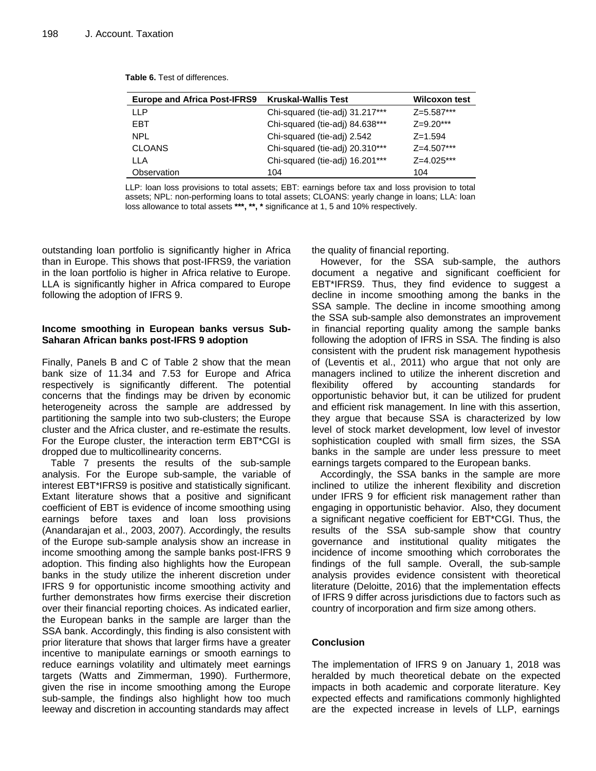| <b>Europe and Africa Post-IFRS9</b> | <b>Kruskal-Wallis Test</b>      | <b>Wilcoxon test</b> |
|-------------------------------------|---------------------------------|----------------------|
| ШP                                  | Chi-squared (tie-adj) 31.217*** | $Z=5.587***$         |
| <b>FBT</b>                          | Chi-squared (tie-adj) 84.638*** | $Z=9.20***$          |
| NPL                                 | Chi-squared (tie-adj) 2.542     | $Z = 1.594$          |
| <b>CLOANS</b>                       | Chi-squared (tie-adj) 20.310*** | $Z=4.507***$         |
| I I A                               | Chi-squared (tie-adj) 16.201*** | $Z=4.025***$         |
| Observation                         | 104                             | 104                  |

**Table 6.** Test of differences.

LLP: loan loss provisions to total assets; EBT: earnings before tax and loss provision to total assets; NPL: non-performing loans to total assets; CLOANS: yearly change in loans; LLA: loan loss allowance to total assets **\*\*\*, \*\*, \*** significance at 1, 5 and 10% respectively.

outstanding loan portfolio is significantly higher in Africa than in Europe. This shows that post-IFRS9, the variation in the loan portfolio is higher in Africa relative to Europe. LLA is significantly higher in Africa compared to Europe following the adoption of IFRS 9.

## **Income smoothing in European banks versus Sub-Saharan African banks post-IFRS 9 adoption**

Finally, Panels B and C of Table 2 show that the mean bank size of 11.34 and 7.53 for Europe and Africa respectively is significantly different. The potential concerns that the findings may be driven by economic heterogeneity across the sample are addressed by partitioning the sample into two sub-clusters; the Europe cluster and the Africa cluster, and re-estimate the results. For the Europe cluster, the interaction term EBT\*CGI is dropped due to multicollinearity concerns.

Table 7 presents the results of the sub-sample analysis. For the Europe sub-sample, the variable of interest EBT\*IFRS9 is positive and statistically significant. Extant literature shows that a positive and significant coefficient of EBT is evidence of income smoothing using earnings before taxes and loan loss provisions (Anandarajan et al., 2003, 2007). Accordingly, the results of the Europe sub-sample analysis show an increase in income smoothing among the sample banks post-IFRS 9 adoption. This finding also highlights how the European banks in the study utilize the inherent discretion under IFRS 9 for opportunistic income smoothing activity and further demonstrates how firms exercise their discretion over their financial reporting choices. As indicated earlier, the European banks in the sample are larger than the SSA bank. Accordingly, this finding is also consistent with prior literature that shows that larger firms have a greater incentive to manipulate earnings or smooth earnings to reduce earnings volatility and ultimately meet earnings targets (Watts and Zimmerman, 1990). Furthermore, given the rise in income smoothing among the Europe sub-sample, the findings also highlight how too much leeway and discretion in accounting standards may affect

the quality of financial reporting.

However, for the SSA sub-sample, the authors document a negative and significant coefficient for EBT\*IFRS9. Thus, they find evidence to suggest a decline in income smoothing among the banks in the SSA sample. The decline in income smoothing among the SSA sub-sample also demonstrates an improvement in financial reporting quality among the sample banks following the adoption of IFRS in SSA. The finding is also consistent with the prudent risk management hypothesis of (Leventis et al., 2011) who argue that not only are managers inclined to utilize the inherent discretion and flexibility offered by accounting standards for opportunistic behavior but, it can be utilized for prudent and efficient risk management. In line with this assertion, they argue that because SSA is characterized by low level of stock market development, low level of investor sophistication coupled with small firm sizes, the SSA banks in the sample are under less pressure to meet earnings targets compared to the European banks.

Accordingly, the SSA banks in the sample are more inclined to utilize the inherent flexibility and discretion under IFRS 9 for efficient risk management rather than engaging in opportunistic behavior. Also, they document a significant negative coefficient for EBT\*CGI. Thus, the results of the SSA sub-sample show that country governance and institutional quality mitigates the incidence of income smoothing which corroborates the findings of the full sample. Overall, the sub-sample analysis provides evidence consistent with theoretical literature (Deloitte, 2016) that the implementation effects of IFRS 9 differ across jurisdictions due to factors such as country of incorporation and firm size among others.

## **Conclusion**

The implementation of IFRS 9 on January 1, 2018 was heralded by much theoretical debate on the expected impacts in both academic and corporate literature. Key expected effects and ramifications commonly highlighted are the expected increase in levels of LLP, earnings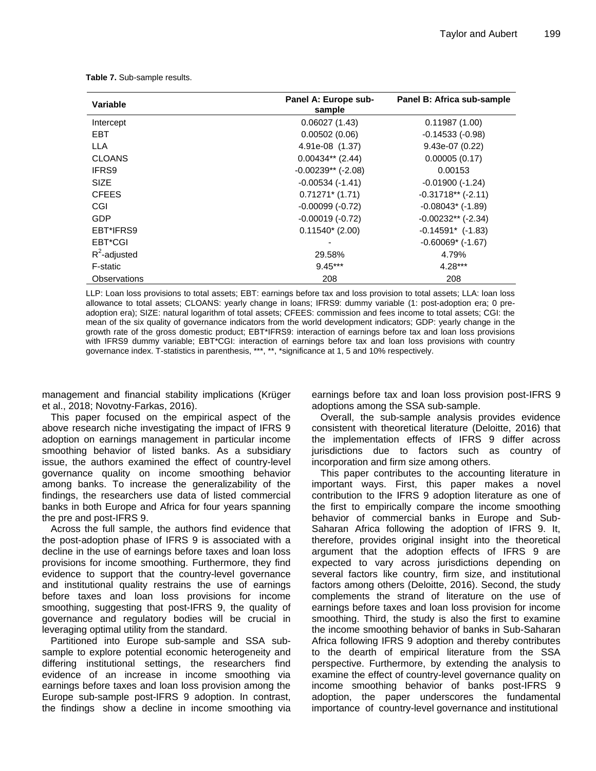**Table 7.** Sub-sample results.

| Variable        | Panel A: Europe sub-<br>sample | Panel B: Africa sub-sample |
|-----------------|--------------------------------|----------------------------|
| Intercept       | 0.06027(1.43)                  | 0.11987(1.00)              |
| EBT             | 0.00502(0.06)                  | $-0.14533(-0.98)$          |
| LLA             | 4.91e-08 (1.37)                | $9.43e-07(0.22)$           |
| <b>CLOANS</b>   | $0.00434**$ (2.44)             | 0.00005(0.17)              |
| <b>IFRS9</b>    | $-0.00239**$ (-2.08)           | 0.00153                    |
| <b>SIZE</b>     | $-0.00534$ $(-1.41)$           | $-0.01900(-1.24)$          |
| <b>CFEES</b>    | $0.71271*$ (1.71)              | $-0.31718**$ ( $-2.11$ )   |
| CGI             | $-0.00099(-0.72)$              | $-0.08043$ ( $-1.89$ )     |
| GDP             | $-0.00019(-0.72)$              | $-0.00232**$ (-2.34)       |
| EBT*IFRS9       | $0.11540*(2.00)$               | $-0.14591*$ $(-1.83)$      |
| EBT*CGI         |                                | $-0.60069$ ( $-1.67$ )     |
| $R^2$ -adjusted | 29.58%                         | 4.79%                      |
| F-static        | $9.45***$                      | $4.28***$                  |
| Observations    | 208                            | 208                        |

LLP: Loan loss provisions to total assets; EBT: earnings before tax and loss provision to total assets; LLA: loan loss allowance to total assets; CLOANS: yearly change in loans; IFRS9: dummy variable (1: post-adoption era; 0 preadoption era); SIZE: natural logarithm of total assets; CFEES: commission and fees income to total assets; CGI: the mean of the six quality of governance indicators from the world development indicators; GDP: yearly change in the growth rate of the gross domestic product; EBT\*IFRS9: interaction of earnings before tax and loan loss provisions with IFRS9 dummy variable; EBT\*CGI: interaction of earnings before tax and loan loss provisions with country governance index. T-statistics in parenthesis, \*\*\*, \*\*, \*significance at 1, 5 and 10% respectively.

management and financial stability implications (Krüger et al., 2018; Novotny-Farkas, 2016).

This paper focused on the empirical aspect of the above research niche investigating the impact of IFRS 9 adoption on earnings management in particular income smoothing behavior of listed banks. As a subsidiary issue, the authors examined the effect of country-level governance quality on income smoothing behavior among banks. To increase the generalizability of the findings, the researchers use data of listed commercial banks in both Europe and Africa for four years spanning the pre and post-IFRS 9.

Across the full sample, the authors find evidence that the post-adoption phase of IFRS 9 is associated with a decline in the use of earnings before taxes and loan loss provisions for income smoothing. Furthermore, they find evidence to support that the country-level governance and institutional quality restrains the use of earnings before taxes and loan loss provisions for income smoothing, suggesting that post-IFRS 9, the quality of governance and regulatory bodies will be crucial in leveraging optimal utility from the standard.

Partitioned into Europe sub-sample and SSA subsample to explore potential economic heterogeneity and differing institutional settings, the researchers find evidence of an increase in income smoothing via earnings before taxes and loan loss provision among the Europe sub-sample post-IFRS 9 adoption. In contrast, the findings show a decline in income smoothing via earnings before tax and loan loss provision post-IFRS 9 adoptions among the SSA sub-sample.

Overall, the sub-sample analysis provides evidence consistent with theoretical literature (Deloitte, 2016) that the implementation effects of IFRS 9 differ across jurisdictions due to factors such as country of incorporation and firm size among others.

This paper contributes to the accounting literature in important ways. First, this paper makes a novel contribution to the IFRS 9 adoption literature as one of the first to empirically compare the income smoothing behavior of commercial banks in Europe and Sub-Saharan Africa following the adoption of IFRS 9. It, therefore, provides original insight into the theoretical argument that the adoption effects of IFRS 9 are expected to vary across jurisdictions depending on several factors like country, firm size, and institutional factors among others (Deloitte, 2016). Second, the study complements the strand of literature on the use of earnings before taxes and loan loss provision for income smoothing. Third, the study is also the first to examine the income smoothing behavior of banks in Sub-Saharan Africa following IFRS 9 adoption and thereby contributes to the dearth of empirical literature from the SSA perspective. Furthermore, by extending the analysis to examine the effect of country-level governance quality on income smoothing behavior of banks post-IFRS 9 adoption, the paper underscores the fundamental importance of country-level governance and institutional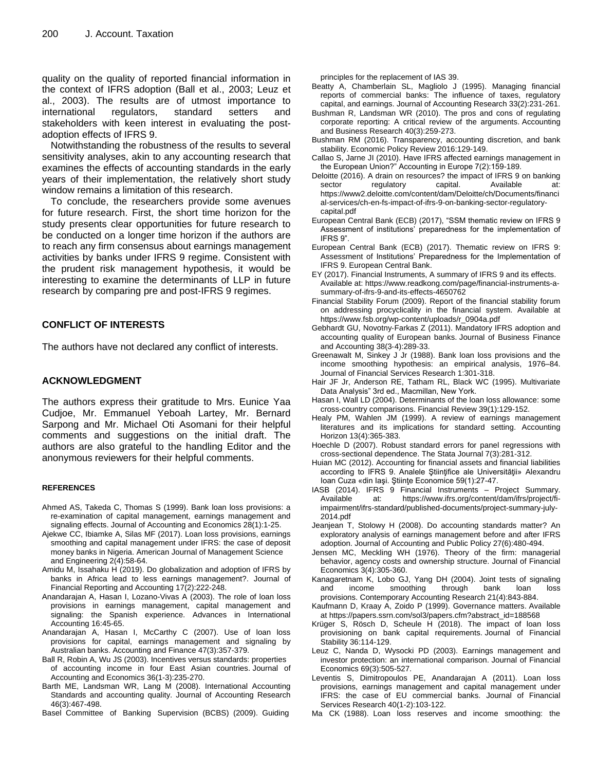quality on the quality of reported financial information in the context of IFRS adoption (Ball et al., 2003; Leuz et al., 2003). The results are of utmost importance to international regulators, standard setters and stakeholders with keen interest in evaluating the postadoption effects of IFRS 9.

Notwithstanding the robustness of the results to several sensitivity analyses, akin to any accounting research that examines the effects of accounting standards in the early years of their implementation, the relatively short study window remains a limitation of this research.

To conclude, the researchers provide some avenues for future research. First, the short time horizon for the study presents clear opportunities for future research to be conducted on a longer time horizon if the authors are to reach any firm consensus about earnings management activities by banks under IFRS 9 regime. Consistent with the prudent risk management hypothesis, it would be interesting to examine the determinants of LLP in future research by comparing pre and post-IFRS 9 regimes.

## **CONFLICT OF INTERESTS**

The authors have not declared any conflict of interests.

#### **ACKNOWLEDGMENT**

The authors express their gratitude to Mrs. Eunice Yaa Cudjoe, Mr. Emmanuel Yeboah Lartey, Mr. Bernard Sarpong and Mr. Michael Oti Asomani for their helpful comments and suggestions on the initial draft. The authors are also grateful to the handling Editor and the anonymous reviewers for their helpful comments.

#### **REFERENCES**

- Ahmed AS, Takeda C, Thomas S (1999). Bank loan loss provisions: a re-examination of capital management, earnings management and signaling effects. Journal of Accounting and Economics 28(1):1-25.
- Ajekwe CC, Ibiamke A, Silas MF (2017). Loan loss provisions, earnings smoothing and capital management under IFRS: the case of deposit money banks in Nigeria. American Journal of Management Science and Engineering 2(4):58-64.
- Amidu M, Issahaku H (2019). Do globalization and adoption of IFRS by banks in Africa lead to less earnings management?. Journal of Financial Reporting and Accounting 17(2):222-248.
- Anandarajan A, Hasan I, Lozano-Vivas A (2003). The role of loan loss provisions in earnings management, capital management and signaling: the Spanish experience. Advances in International Accounting 16:45-65.
- Anandarajan A, Hasan I, McCarthy C (2007). Use of loan loss provisions for capital, earnings management and signaling by Australian banks. Accounting and Finance 47(3):357-379.
- Ball R, Robin A, Wu JS (2003). Incentives versus standards: properties of accounting income in four East Asian countries. Journal of Accounting and Economics 36(1-3):235-270.
- Barth ME, Landsman WR, Lang M (2008). International Accounting Standards and accounting quality. Journal of Accounting Research 46(3):467-498.
- Basel Committee of Banking Supervision (BCBS) (2009). Guiding

principles for the replacement of IAS 39.

- Beatty A, Chamberlain SL, Magliolo J (1995). Managing financial reports of commercial banks: The influence of taxes, regulatory capital, and earnings. Journal of Accounting Research 33(2):231-261.
- Bushman R, Landsman WR (2010). The pros and cons of regulating corporate reporting: A critical review of the arguments. Accounting and Business Research 40(3):259-273.
- Bushman RM (2016). Transparency, accounting discretion, and bank stability. Economic Policy Review 2016:129-149.
- Callao S, Jarne JI (2010). Have IFRS affected earnings management in the European Union?" Accounting in Europe 7(2):159-189.
- Deloitte (2016). A drain on resources? the impact of IFRS 9 on banking sector regulatory capital. Available at: [https://www2.deloitte.com/content/dam/Deloitte/ch/Documents/financi](https://www2.deloitte.com/content/dam/Deloitte/ch/Documents/financial-services/ch-en-fs-impact-of-ifrs-9-on-banking-sector-regulatory-capital.pdf) [al-services/ch-en-fs-impact-of-ifrs-9-on-banking-sector-regulatory](https://www2.deloitte.com/content/dam/Deloitte/ch/Documents/financial-services/ch-en-fs-impact-of-ifrs-9-on-banking-sector-regulatory-capital.pdf)[capital.pdf](https://www2.deloitte.com/content/dam/Deloitte/ch/Documents/financial-services/ch-en-fs-impact-of-ifrs-9-on-banking-sector-regulatory-capital.pdf)
- European Central Bank (ECB) (2017), "SSM thematic review on IFRS 9 Assessment of institutions' preparedness for the implementation of IFRS 9".
- European Central Bank (ECB) (2017). Thematic review on IFRS 9: Assessment of Institutions' Preparedness for the Implementation of IFRS 9. European Central Bank.
- EY (2017). Financial Instruments, A summary of IFRS 9 and its effects. Available at[: https://www.readkong.com/page/financial-instruments-a](https://www.readkong.com/page/financial-instruments-a-summary-of-ifrs-9-and-its-effects-4650762)[summary-of-ifrs-9-and-its-effects-4650762](https://www.readkong.com/page/financial-instruments-a-summary-of-ifrs-9-and-its-effects-4650762)
- Financial Stability Forum (2009). Report of the financial stability forum on addressing procyclicality in the financial system. Available at [https://www.fsb.org/wp-content/uploads/r\\_0904a.pdf](https://www.fsb.org/wp-content/uploads/r_0904a.pdf)
- Gebhardt GU, Novotny‐Farkas Z (2011). Mandatory IFRS adoption and accounting quality of European banks. Journal of Business Finance and Accounting 38(3‐4):289-33.
- Greenawalt M, Sinkey J Jr (1988). Bank loan loss provisions and the income smoothing hypothesis: an empirical analysis, 1976–84. Journal of Financial Services Research 1:301-318.
- Hair JF Jr, Anderson RE, Tatham RL, Black WC (1995). Multivariate Data Analysis" 3rd ed., Macmillan, New York.
- Hasan I, Wall LD (2004). Determinants of the loan loss allowance: some cross‐country comparisons. Financial Review 39(1):129-152.
- Healy PM, Wahlen JM (1999). A review of earnings management literatures and its implications for standard setting. Accounting Horizon 13(4):365-383.
- Hoechle D (2007). Robust standard errors for panel regressions with cross-sectional dependence. The Stata Journal 7(3):281-312.
- Huian MC (2012). Accounting for financial assets and financial liabilities according to IFRS 9. Analele Ştiinţifice ale Universităţii» Alexandru Ioan Cuza «din Iaşi. Ştiinţe Economice 59(1):27-47.
- IASB (2014). IFRS 9 Financial Instruments Project Summary. Available at: [https://www.ifrs.org/content/dam/ifrs/project/fi](https://www.ifrs.org/content/dam/ifrs/project/fi-impairment/ifrs-standard/published-documents/project-summary-july-2014.pdf)[impairment/ifrs-standard/published-documents/project-summary-july-](https://www.ifrs.org/content/dam/ifrs/project/fi-impairment/ifrs-standard/published-documents/project-summary-july-2014.pdf)[2014.pdf](https://www.ifrs.org/content/dam/ifrs/project/fi-impairment/ifrs-standard/published-documents/project-summary-july-2014.pdf)
- Jeanjean T, Stolowy H (2008). Do accounting standards matter? An exploratory analysis of earnings management before and after IFRS adoption. Journal of Accounting and Public Policy 27(6):480-494.
- Jensen MC, Meckling WH (1976). Theory of the firm: managerial behavior, agency costs and ownership structure. Journal of Financial Economics 3(4):305-360.
- Kanagaretnam K, Lobo GJ, Yang DH (2004). Joint tests of signaling and income smoothing through bank loan loss provisions. Contemporary Accounting Research 21(4):843-884.
- Kaufmann D, Kraay A, Zoido P (1999). Governance matters. Available a[t https://papers.ssrn.com/sol3/papers.cfm?abstract\\_id=188568](https://papers.ssrn.com/sol3/papers.cfm?abstract_id=188568)
- Krüger S, Rösch D, Scheule H (2018). The impact of loan loss provisioning on bank capital requirements. Journal of Financial Stability 36:114-129.
- Leuz C, Nanda D, Wysocki PD (2003). Earnings management and investor protection: an international comparison. Journal of Financial Economics 69(3):505-527.
- Leventis S, Dimitropoulos PE, Anandarajan A (2011). Loan loss provisions, earnings management and capital management under IFRS: the case of EU commercial banks. Journal of Financial Services Research 40(1-2):103-122.
- Ma CK (1988). Loan loss reserves and income smoothing: the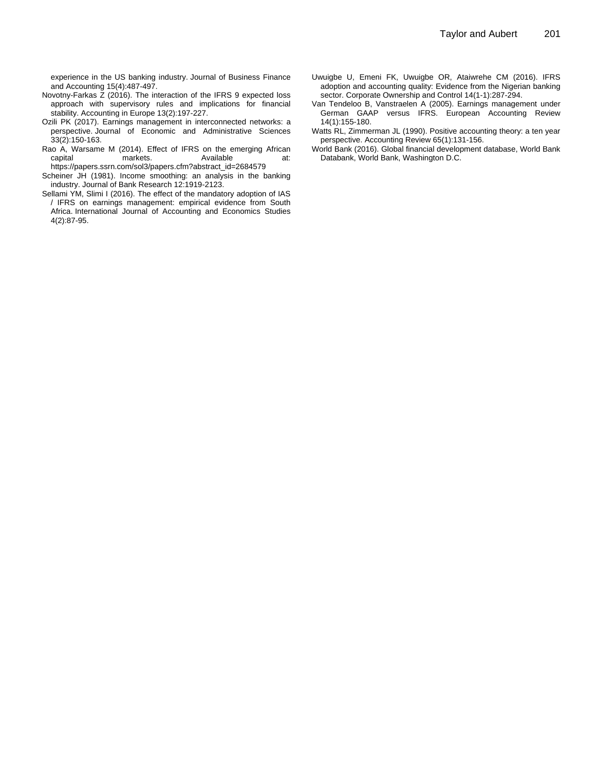experience in the US banking industry. Journal of Business Finance and Accounting 15(4):487-497.

- Novotny-Farkas Z (2016). The interaction of the IFRS 9 expected loss approach with supervisory rules and implications for financial stability. Accounting in Europe 13(2):197-227.
- Ozili PK (2017). Earnings management in interconnected networks: a perspective. Journal of Economic and Administrative Sciences 33(2):150-163.
- Rao A, Warsame M (2014). Effect of IFRS on the emerging African capital markets. Available at: [https://papers.ssrn.com/sol3/papers.cfm?abstract\\_id=2684579](https://papers.ssrn.com/sol3/papers.cfm?abstract_id=2684579)
- Scheiner JH (1981). Income smoothing: an analysis in the banking industry. Journal of Bank Research 12:1919-2123.
- Sellami YM, Slimi I (2016). The effect of the mandatory adoption of IAS / IFRS on earnings management: empirical evidence from South Africa. International Journal of Accounting and Economics Studies 4(2):87-95.
- Uwuigbe U, Emeni FK, Uwuigbe OR, Ataiwrehe CM (2016). IFRS adoption and accounting quality: Evidence from the Nigerian banking sector. Corporate Ownership and Control 14(1-1):287-294.
- Van Tendeloo B, Vanstraelen A (2005). Earnings management under German GAAP versus IFRS. European Accounting Review 14(1):155-180.
- Watts RL, Zimmerman JL (1990). Positive accounting theory: a ten year perspective. Accounting Review 65(1):131-156.
- World Bank (2016). Global financial development database, World Bank Databank, World Bank, Washington D.C.